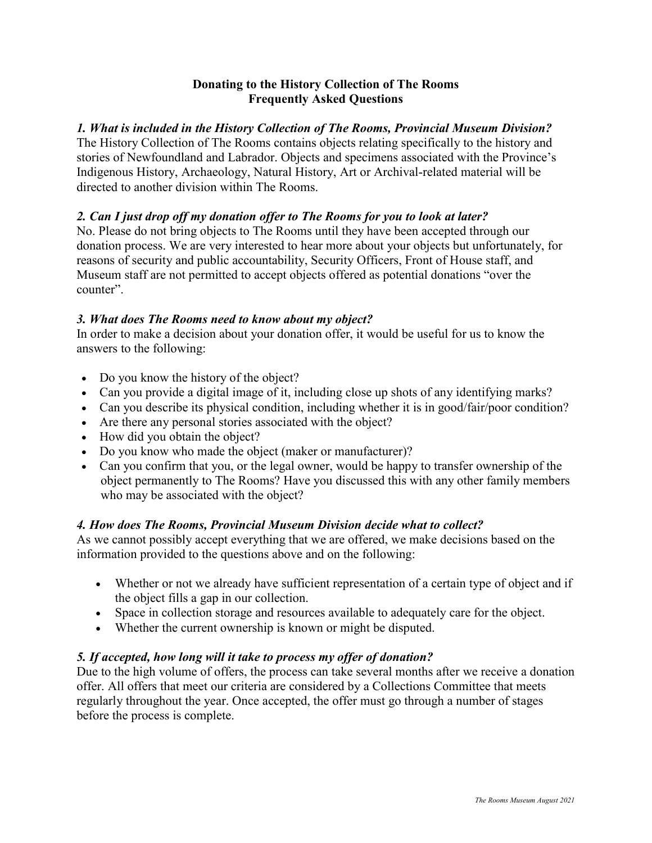## **Donating to the History Collection of The Rooms Frequently Asked Questions**

# *1. What is included in the History Collection of The Rooms, Provincial Museum Division?*

The History Collection of The Rooms contains objects relating specifically to the history and stories of Newfoundland and Labrador. Objects and specimens associated with the Province's Indigenous History, Archaeology, Natural History, Art or Archival-related material will be directed to another division within The Rooms.

# *2. Can I just drop off my donation offer to The Rooms for you to look at later?*

No. Please do not bring objects to The Rooms until they have been accepted through our donation process. We are very interested to hear more about your objects but unfortunately, for reasons of security and public accountability, Security Officers, Front of House staff, and Museum staff are not permitted to accept objects offered as potential donations "over the counter".

### *3. What does The Rooms need to know about my object?*

In order to make a decision about your donation offer, it would be useful for us to know the answers to the following:

- Do you know the history of the object?
- Can you provide a digital image of it, including close up shots of any identifying marks?
- Can you describe its physical condition, including whether it is in good/fair/poor condition?
- Are there any personal stories associated with the object?
- How did you obtain the object?
- Do you know who made the object (maker or manufacturer)?
- Can you confirm that you, or the legal owner, would be happy to transfer ownership of the object permanently to The Rooms? Have you discussed this with any other family members who may be associated with the object?

### *4. How does The Rooms, Provincial Museum Division decide what to collect?*

As we cannot possibly accept everything that we are offered, we make decisions based on the information provided to the questions above and on the following:

- Whether or not we already have sufficient representation of a certain type of object and if the object fills a gap in our collection.
- Space in collection storage and resources available to adequately care for the object.
- Whether the current ownership is known or might be disputed.

# *5. If accepted, how long will it take to process my offer of donation?*

Due to the high volume of offers, the process can take several months after we receive a donation offer. All offers that meet our criteria are considered by a Collections Committee that meets regularly throughout the year. Once accepted, the offer must go through a number of stages before the process is complete.